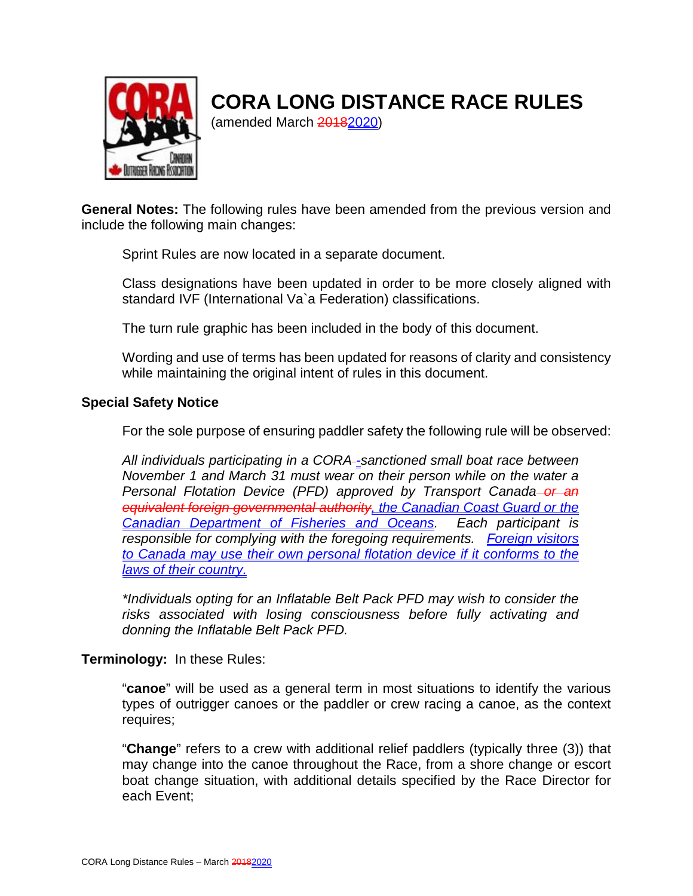

# **CORA LONG DISTANCE RACE RULES**

(amended March 20182020)

**General Notes:** The following rules have been amended from the previous version and include the following main changes:

Sprint Rules are now located in a separate document.

Class designations have been updated in order to be more closely aligned with standard IVF (International Va`a Federation) classifications.

The turn rule graphic has been included in the body of this document.

Wording and use of terms has been updated for reasons of clarity and consistency while maintaining the original intent of rules in this document.

# **Special Safety Notice**

For the sole purpose of ensuring paddler safety the following rule will be observed:

*All individuals participating in a CORA -sanctioned small boat race between November 1 and March 31 must wear on their person while on the water a Personal Flotation Device (PFD) approved by Transport Canada or an equivalent foreign governmental authority, the Canadian Coast Guard or the Canadian Department of Fisheries and Oceans. Each participant is responsible for complying with the foregoing requirements. Foreign visitors to Canada may use their own personal flotation device if it conforms to the laws of their country.*

*\*Individuals opting for an Inflatable Belt Pack PFD may wish to consider the risks associated with losing consciousness before fully activating and donning the Inflatable Belt Pack PFD.*

# **Terminology:** In these Rules:

"**canoe**" will be used as a general term in most situations to identify the various types of outrigger canoes or the paddler or crew racing a canoe, as the context requires;

"**Change**" refers to a crew with additional relief paddlers (typically three (3)) that may change into the canoe throughout the Race, from a shore change or escort boat change situation, with additional details specified by the Race Director for each Event;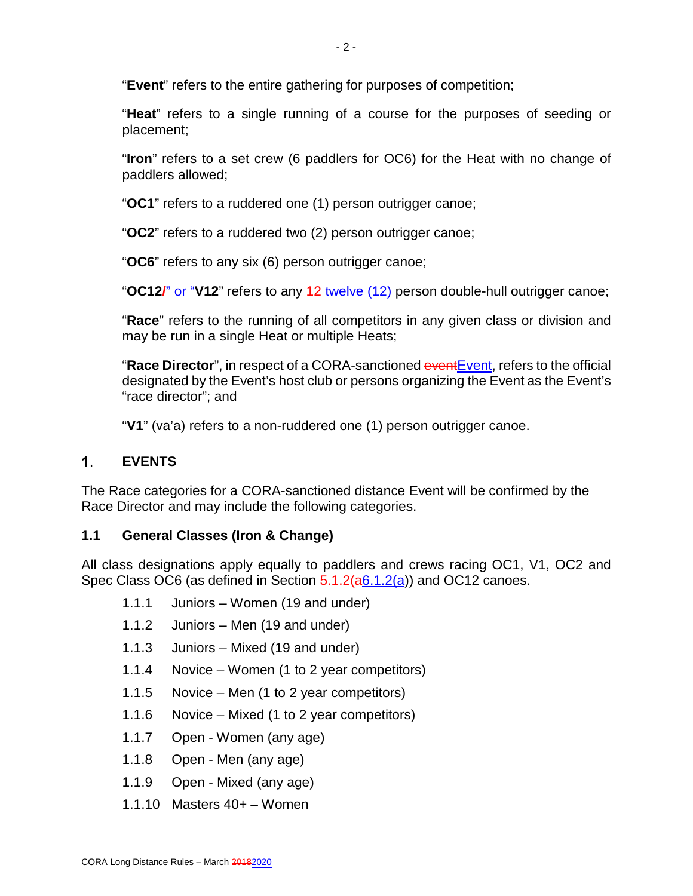"**Heat**" refers to a single running of a course for the purposes of seeding or placement;

"**Iron**" refers to a set crew (6 paddlers for OC6) for the Heat with no change of paddlers allowed;

"**OC1**" refers to a ruddered one (1) person outrigger canoe;

"**OC2**" refers to a ruddered two (2) person outrigger canoe;

"**OC6**" refers to any six (6) person outrigger canoe;

"**OC12/**" or "**V12**" refers to any 12 twelve (12) person double-hull outrigger canoe;

"**Race**" refers to the running of all competitors in any given class or division and may be run in a single Heat or multiple Heats;

"**Race Director**", in respect of a CORA-sanctioned eventEvent, refers to the official designated by the Event's host club or persons organizing the Event as the Event's "race director"; and

"**V1**" (va'a) refers to a non-ruddered one (1) person outrigger canoe.

#### $\mathbf{1}$ . **EVENTS**

The Race categories for a CORA-sanctioned distance Event will be confirmed by the Race Director and may include the following categories.

# **1.1 General Classes (Iron & Change)**

All class designations apply equally to paddlers and crews racing OC1, V1, OC2 and Spec Class OC6 (as defined in Section 5.1.2(a6.1.2(a)) and OC12 canoes.

- 1.1.1 Juniors Women (19 and under)
- 1.1.2 Juniors Men (19 and under)
- 1.1.3 Juniors Mixed (19 and under)
- 1.1.4 Novice Women (1 to 2 year competitors)
- 1.1.5 Novice Men (1 to 2 year competitors)
- 1.1.6 Novice Mixed (1 to 2 year competitors)
- 1.1.7 Open Women (any age)
- 1.1.8 Open Men (any age)
- 1.1.9 Open Mixed (any age)
- 1.1.10 Masters 40+ Women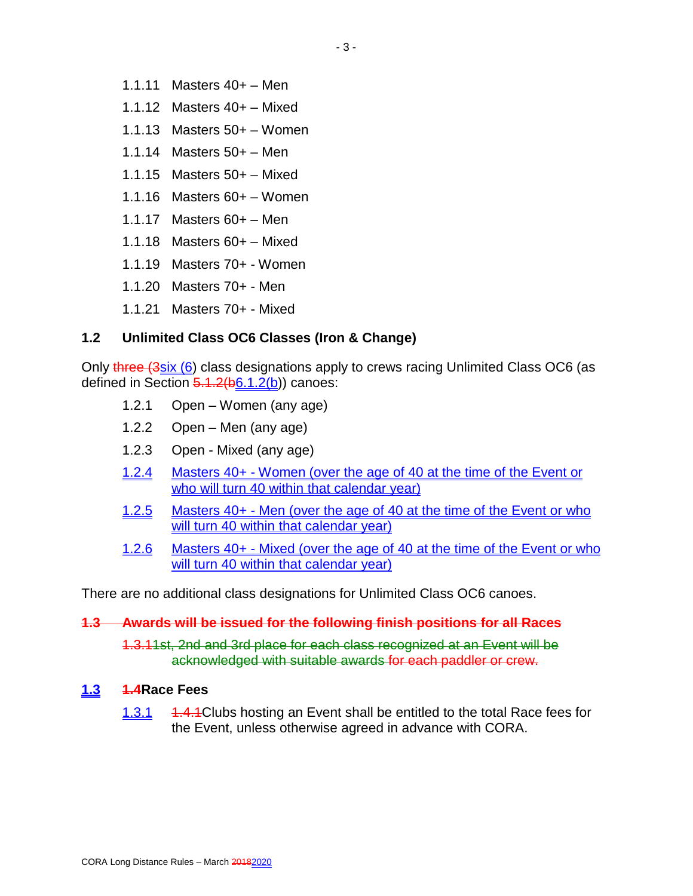- 1.1.11 Masters 40+ Men
- 1.1.12 Masters 40+ Mixed
- 1.1.13 Masters 50+ Women
- 1.1.14 Masters 50+ Men
- 1.1.15 Masters 50+ Mixed
- 1.1.16 Masters 60+ Women
- 1.1.17 Masters 60+ Men
- 1.1.18 Masters 60+ Mixed
- 1.1.19 Masters 70+ Women
- 1.1.20 Masters 70+ Men
- 1.1.21 Masters 70+ Mixed

# **1.2 Unlimited Class OC6 Classes (Iron & Change)**

Only three (3six (6) class designations apply to crews racing Unlimited Class OC6 (as defined in Section  $5.1.2(b6.1.2(b))$  canoes:

- 1.2.1 Open Women (any age)
- 1.2.2 Open Men (any age)
- 1.2.3 Open Mixed (any age)
- 1.2.4 Masters 40+ Women (over the age of 40 at the time of the Event or who will turn 40 within that calendar year)
- 1.2.5 Masters 40+ Men (over the age of 40 at the time of the Event or who will turn 40 within that calendar year)
- 1.2.6 Masters 40+ Mixed (over the age of 40 at the time of the Event or who will turn 40 within that calendar year)

There are no additional class designations for Unlimited Class OC6 canoes.

#### **1.3 Awards will be issued for the following finish positions for all Races**

1.3.11st, 2nd and 3rd place for each class recognized at an Event will be acknowledged with suitable awards for each paddler or crew.

# **1.3 1.4Race Fees**

1.3.1 1.4.1 Clubs hosting an Event shall be entitled to the total Race fees for the Event, unless otherwise agreed in advance with CORA.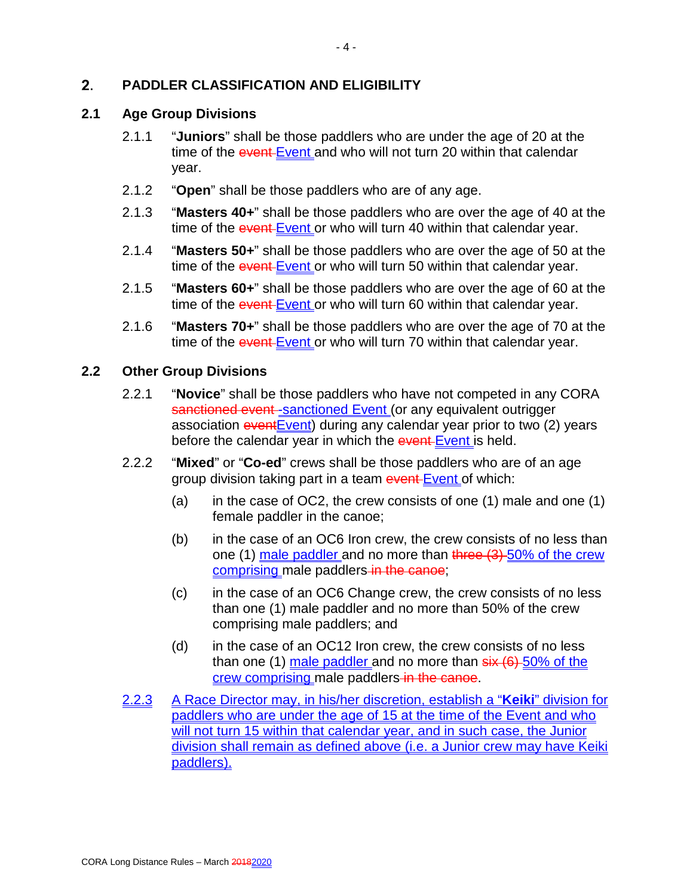#### $2.$ **PADDLER CLASSIFICATION AND ELIGIBILITY**

### **2.1 Age Group Divisions**

- 2.1.1 "**Juniors**" shall be those paddlers who are under the age of 20 at the time of the event Event and who will not turn 20 within that calendar year.
- 2.1.2 "**Open**" shall be those paddlers who are of any age.
- 2.1.3 "**Masters 40+**" shall be those paddlers who are over the age of 40 at the time of the event-Event or who will turn 40 within that calendar year.
- 2.1.4 "**Masters 50+**" shall be those paddlers who are over the age of 50 at the time of the event Event or who will turn 50 within that calendar year.
- 2.1.5 "**Masters 60+**" shall be those paddlers who are over the age of 60 at the time of the event Event or who will turn 60 within that calendar year.
- 2.1.6 "**Masters 70+**" shall be those paddlers who are over the age of 70 at the time of the event Event or who will turn 70 within that calendar year.

### **2.2 Other Group Divisions**

- 2.2.1 "**Novice**" shall be those paddlers who have not competed in any CORA sanctioned event-sanctioned Event (or any equivalent outrigger association event Event) during any calendar year prior to two (2) years before the calendar year in which the event-Event is held.
- 2.2.2 "**Mixed**" or "**Co-ed**" crews shall be those paddlers who are of an age group division taking part in a team event Event of which:
	- (a) in the case of OC2, the crew consists of one (1) male and one (1) female paddler in the canoe;
	- (b) in the case of an OC6 Iron crew, the crew consists of no less than one (1) male paddler and no more than three (3) 50% of the crew comprising male paddlers in the canoe;
	- (c) in the case of an OC6 Change crew, the crew consists of no less than one (1) male paddler and no more than 50% of the crew comprising male paddlers; and
	- (d) in the case of an OC12 Iron crew, the crew consists of no less than one (1) male paddler and no more than  $s$ ix  $(6)$  50% of the crew comprising male paddlers in the canoe.
- 2.2.3 A Race Director may, in his/her discretion, establish a "**Keiki**" division for paddlers who are under the age of 15 at the time of the Event and who will not turn 15 within that calendar year, and in such case, the Junior division shall remain as defined above (i.e. a Junior crew may have Keiki paddlers).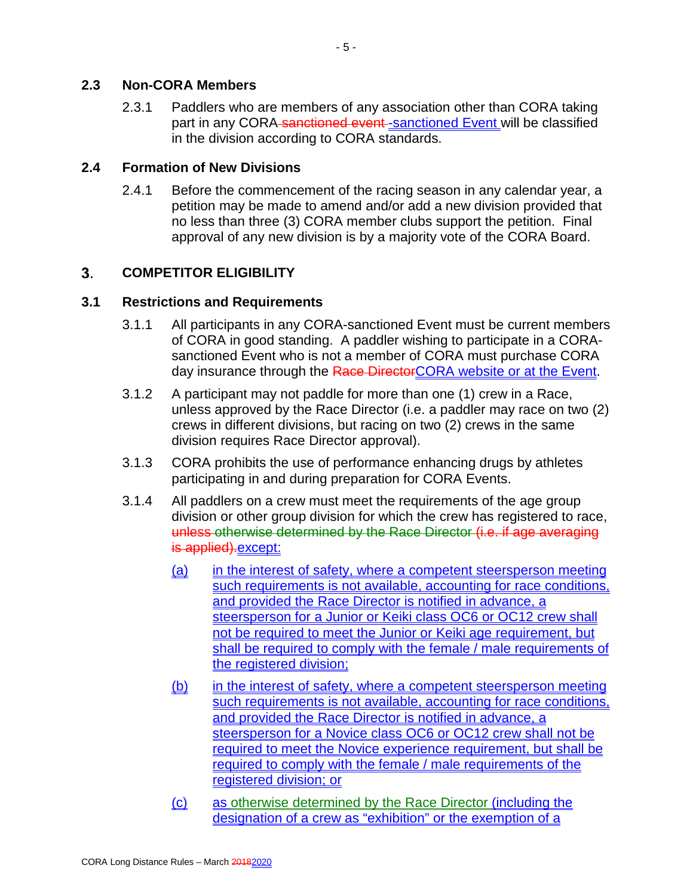### **2.3 Non-CORA Members**

2.3.1 Paddlers who are members of any association other than CORA taking part in any CORA-sanctioned event-sanctioned Event will be classified in the division according to CORA standards.

### **2.4 Formation of New Divisions**

2.4.1 Before the commencement of the racing season in any calendar year, a petition may be made to amend and/or add a new division provided that no less than three (3) CORA member clubs support the petition. Final approval of any new division is by a majority vote of the CORA Board.

#### 3. **COMPETITOR ELIGIBILITY**

### **3.1 Restrictions and Requirements**

- 3.1.1 All participants in any CORA-sanctioned Event must be current members of CORA in good standing. A paddler wishing to participate in a CORAsanctioned Event who is not a member of CORA must purchase CORA day insurance through the Race DirectorCORA website or at the Event.
- 3.1.2 A participant may not paddle for more than one (1) crew in a Race, unless approved by the Race Director (i.e. a paddler may race on two (2) crews in different divisions, but racing on two (2) crews in the same division requires Race Director approval).
- 3.1.3 CORA prohibits the use of performance enhancing drugs by athletes participating in and during preparation for CORA Events.
- 3.1.4 All paddlers on a crew must meet the requirements of the age group division or other group division for which the crew has registered to race, unless otherwise determined by the Race Director (i.e. if age averaging is applied).except:
	- (a) in the interest of safety, where a competent steersperson meeting such requirements is not available, accounting for race conditions, and provided the Race Director is notified in advance, a steersperson for a Junior or Keiki class OC6 or OC12 crew shall not be required to meet the Junior or Keiki age requirement, but shall be required to comply with the female / male requirements of the registered division;
	- (b) in the interest of safety, where a competent steersperson meeting such requirements is not available, accounting for race conditions, and provided the Race Director is notified in advance, a steersperson for a Novice class OC6 or OC12 crew shall not be required to meet the Novice experience requirement, but shall be required to comply with the female / male requirements of the registered division; or
	- (c) as otherwise determined by the Race Director (including the designation of a crew as "exhibition" or the exemption of a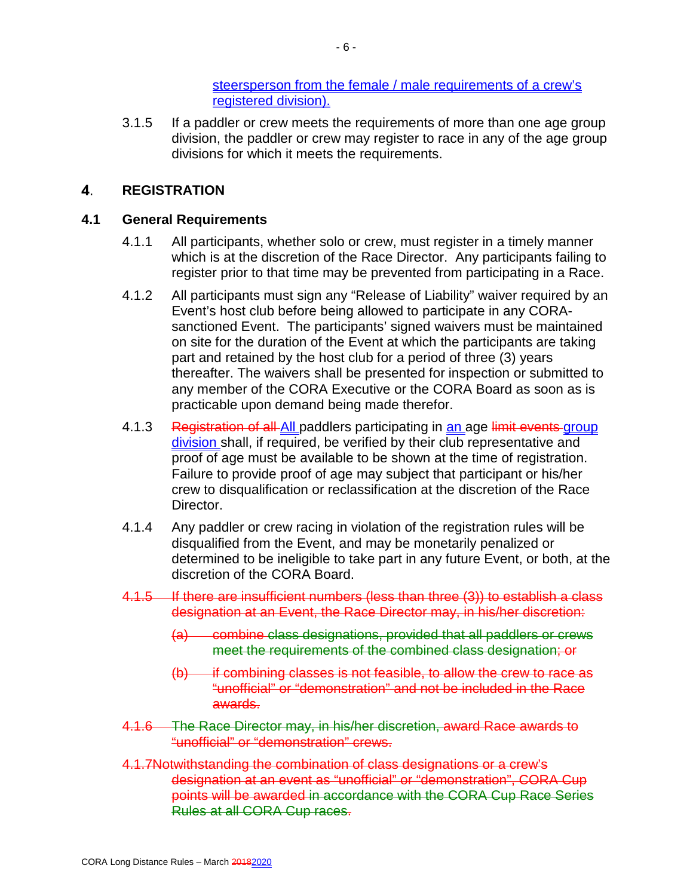### steersperson from the female / male requirements of a crew's registered division).

3.1.5 If a paddler or crew meets the requirements of more than one age group division, the paddler or crew may register to race in any of the age group divisions for which it meets the requirements.

#### 4. **REGISTRATION**

# **4.1 General Requirements**

- 4.1.1 All participants, whether solo or crew, must register in a timely manner which is at the discretion of the Race Director. Any participants failing to register prior to that time may be prevented from participating in a Race.
- 4.1.2 All participants must sign any "Release of Liability" waiver required by an Event's host club before being allowed to participate in any CORAsanctioned Event. The participants' signed waivers must be maintained on site for the duration of the Event at which the participants are taking part and retained by the host club for a period of three (3) years thereafter. The waivers shall be presented for inspection or submitted to any member of the CORA Executive or the CORA Board as soon as is practicable upon demand being made therefor.
- 4.1.3 Registration of all All paddlers participating in an age limit events group division shall, if required, be verified by their club representative and proof of age must be available to be shown at the time of registration. Failure to provide proof of age may subject that participant or his/her crew to disqualification or reclassification at the discretion of the Race Director.
- 4.1.4 Any paddler or crew racing in violation of the registration rules will be disqualified from the Event, and may be monetarily penalized or determined to be ineligible to take part in any future Event, or both, at the discretion of the CORA Board.
- 4.1.5 If there are insufficient numbers (less than three (3)) to establish a class designation at an Event, the Race Director may, in his/her discretion:
	- (a) combine class designations, provided that all paddlers or crews meet the requirements of the combined class designation; or
	- $(b)$  if combining classes is not feasible, to allow the crew to race as "unofficial" or "demonstration" and not be included in the Race awards.
- 4.1.6 The Race Director may, in his/her discretion, award Race awards to "unofficial" or "demonstration" crews.
- 4.1.7Notwithstanding the combination of class designations or a crew's designation at an event as "unofficial" or "demonstration", CORA Cup points will be awarded in accordance with the CORA Cup Race Series Rules at all CORA Cup races.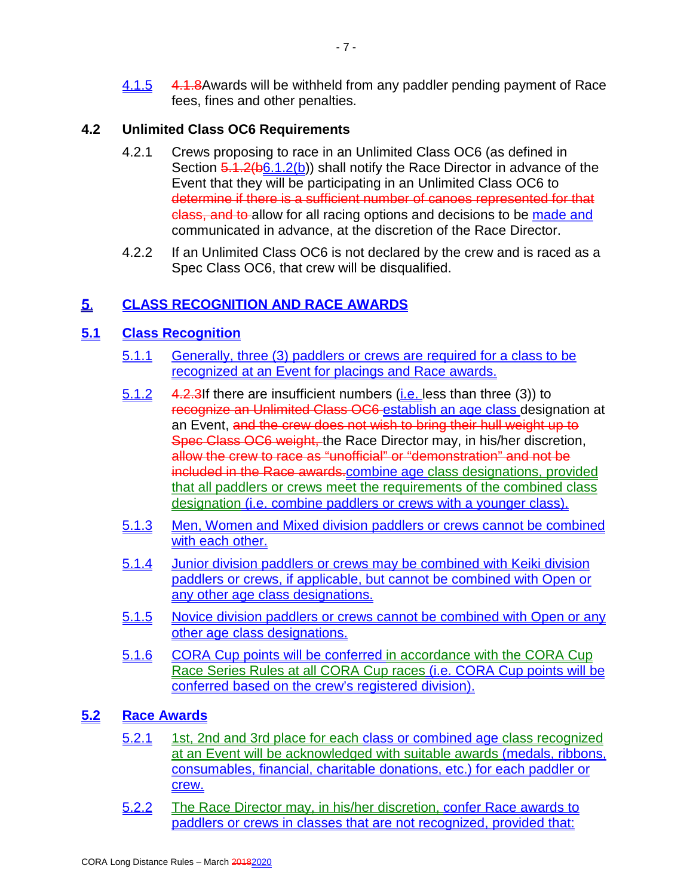4.1.5 4.1.8Awards will be withheld from any paddler pending payment of Race fees, fines and other penalties.

# **4.2 Unlimited Class OC6 Requirements**

- 4.2.1 Crews proposing to race in an Unlimited Class OC6 (as defined in Section 5.1.2(b6.1.2(b)) shall notify the Race Director in advance of the Event that they will be participating in an Unlimited Class OC6 to determine if there is a sufficient number of canoes represented for that class, and to allow for all racing options and decisions to be made and communicated in advance, at the discretion of the Race Director.
- 4.2.2 If an Unlimited Class OC6 is not declared by the crew and is raced as a Spec Class OC6, that crew will be disqualified.

#### **CLASS RECOGNITION AND RACE AWARDS** 5.

# **5.1 Class Recognition**

- 5.1.1 Generally, three (3) paddlers or crews are required for a class to be recognized at an Event for placings and Race awards.
- $\frac{5.1.2}{2}$  4.2.3 del there are insufficient numbers (i.e. less than three (3)) to recognize an Unlimited Class OC6 establish an age class designation at an Event, and the crew does not wish to bring their hull weight up to Spec Class OC6 weight, the Race Director may, in his/her discretion, allow the crew to race as "unofficial" or "demonstration" and not be included in the Race awards.combine age class designations, provided that all paddlers or crews meet the requirements of the combined class designation *(i.e. combine paddlers or crews with a younger class).*
- 5.1.3 Men, Women and Mixed division paddlers or crews cannot be combined with each other.
- 5.1.4 Junior division paddlers or crews may be combined with Keiki division paddlers or crews, if applicable, but cannot be combined with Open or any other age class designations.
- 5.1.5 Novice division paddlers or crews cannot be combined with Open or any other age class designations.
- 5.1.6 CORA Cup points will be conferred in accordance with the CORA Cup Race Series Rules at all CORA Cup races (i.e. CORA Cup points will be conferred based on the crew's registered division).

# **5.2 Race Awards**

- 5.2.1 1st, 2nd and 3rd place for each class or combined age class recognized at an Event will be acknowledged with suitable awards (medals, ribbons, consumables, financial, charitable donations, etc.) for each paddler or crew.
- 5.2.2 The Race Director may, in his/her discretion, confer Race awards to paddlers or crews in classes that are not recognized, provided that: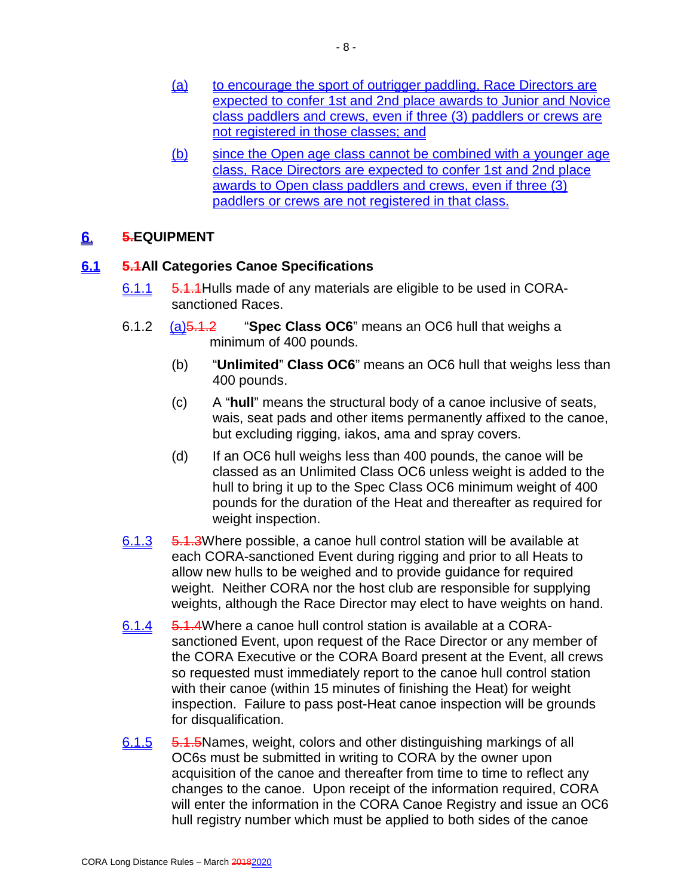- (a) to encourage the sport of outrigger paddling, Race Directors are expected to confer 1st and 2nd place awards to Junior and Novice class paddlers and crews, even if three (3) paddlers or crews are not registered in those classes; and
- (b) since the Open age class cannot be combined with a younger age class, Race Directors are expected to confer 1st and 2nd place awards to Open class paddlers and crews, even if three (3) paddlers or crews are not registered in that class.

#### 6. **5.EQUIPMENT**

# **6.1 5.1All Categories Canoe Specifications**

- 6.1.1 5.1.1Hulls made of any materials are eligible to be used in CORAsanctioned Races.
- 6.1.2 (a)5.1.2 "**Spec Class OC6**" means an OC6 hull that weighs a minimum of 400 pounds.
	- (b) "**Unlimited**" **Class OC6**" means an OC6 hull that weighs less than 400 pounds.
	- (c) A "**hull**" means the structural body of a canoe inclusive of seats, wais, seat pads and other items permanently affixed to the canoe, but excluding rigging, iakos, ama and spray covers.
	- (d) If an OC6 hull weighs less than 400 pounds, the canoe will be classed as an Unlimited Class OC6 unless weight is added to the hull to bring it up to the Spec Class OC6 minimum weight of 400 pounds for the duration of the Heat and thereafter as required for weight inspection.
- 6.1.3 5.1.3Where possible, a canoe hull control station will be available at each CORA-sanctioned Event during rigging and prior to all Heats to allow new hulls to be weighed and to provide guidance for required weight. Neither CORA nor the host club are responsible for supplying weights, although the Race Director may elect to have weights on hand.
- 6.1.4 5.1.4Where a canoe hull control station is available at a CORAsanctioned Event, upon request of the Race Director or any member of the CORA Executive or the CORA Board present at the Event, all crews so requested must immediately report to the canoe hull control station with their canoe (within 15 minutes of finishing the Heat) for weight inspection. Failure to pass post-Heat canoe inspection will be grounds for disqualification.
- 6.1.5 5.1.5Names, weight, colors and other distinguishing markings of all OC6s must be submitted in writing to CORA by the owner upon acquisition of the canoe and thereafter from time to time to reflect any changes to the canoe. Upon receipt of the information required, CORA will enter the information in the CORA Canoe Registry and issue an OC6 hull registry number which must be applied to both sides of the canoe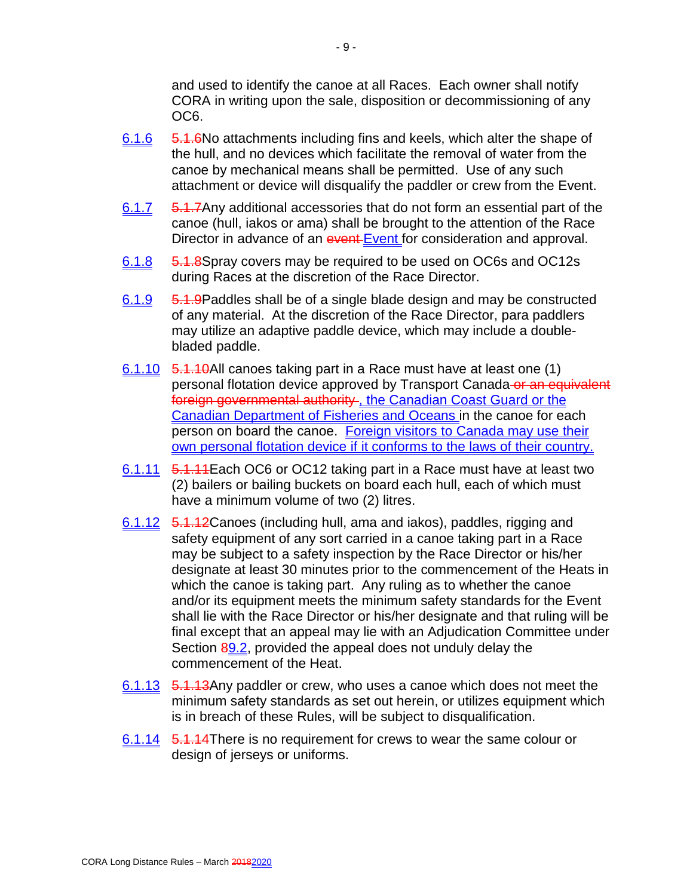and used to identify the canoe at all Races. Each owner shall notify CORA in writing upon the sale, disposition or decommissioning of any OC6.

- 6.1.6 5.1.6No attachments including fins and keels, which alter the shape of the hull, and no devices which facilitate the removal of water from the canoe by mechanical means shall be permitted. Use of any such attachment or device will disqualify the paddler or crew from the Event.
- 6.1.7 5.1.7Any additional accessories that do not form an essential part of the canoe (hull, iakos or ama) shall be brought to the attention of the Race Director in advance of an event Event for consideration and approval.
- 6.1.8 5.1.8Spray covers may be required to be used on OC6s and OC12s during Races at the discretion of the Race Director.
- 6.1.9 5.1.9Paddles shall be of a single blade design and may be constructed of any material. At the discretion of the Race Director, para paddlers may utilize an adaptive paddle device, which may include a doublebladed paddle.
- 6.1.10 5.1.10All canoes taking part in a Race must have at least one (1) personal flotation device approved by Transport Canada or an equivalent foreign governmental authority, the Canadian Coast Guard or the Canadian Department of Fisheries and Oceans in the canoe for each person on board the canoe. Foreign visitors to Canada may use their own personal flotation device if it conforms to the laws of their country.
- 6.1.11 5.1.11Each OC6 or OC12 taking part in a Race must have at least two (2) bailers or bailing buckets on board each hull, each of which must have a minimum volume of two (2) litres.
- 6.1.12 5.1.12Canoes (including hull, ama and iakos), paddles, rigging and safety equipment of any sort carried in a canoe taking part in a Race may be subject to a safety inspection by the Race Director or his/her designate at least 30 minutes prior to the commencement of the Heats in which the canoe is taking part. Any ruling as to whether the canoe and/or its equipment meets the minimum safety standards for the Event shall lie with the Race Director or his/her designate and that ruling will be final except that an appeal may lie with an Adjudication Committee under Section 89.2, provided the appeal does not unduly delay the commencement of the Heat.
- 6.1.13 5.1.13Any paddler or crew, who uses a canoe which does not meet the minimum safety standards as set out herein, or utilizes equipment which is in breach of these Rules, will be subject to disqualification.
- 6.1.14 5.1.14There is no requirement for crews to wear the same colour or design of jerseys or uniforms.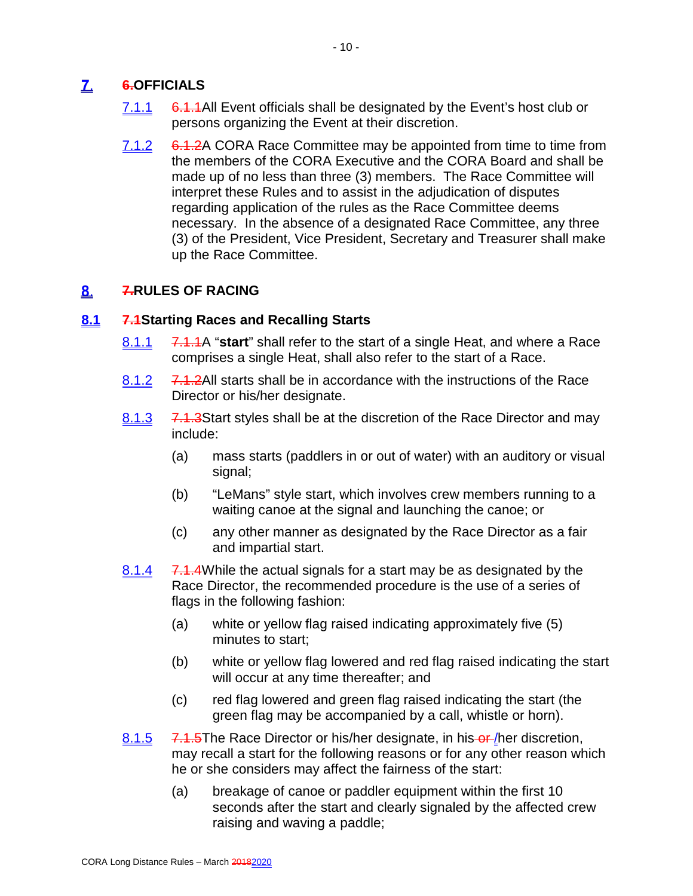#### Ζ. **6.OFFICIALS**

- 7.1.1 6.1.1All Event officials shall be designated by the Event's host club or persons organizing the Event at their discretion.
- 7.1.2 6.1.2A CORA Race Committee may be appointed from time to time from the members of the CORA Executive and the CORA Board and shall be made up of no less than three (3) members. The Race Committee will interpret these Rules and to assist in the adjudication of disputes regarding application of the rules as the Race Committee deems necessary. In the absence of a designated Race Committee, any three (3) of the President, Vice President, Secretary and Treasurer shall make up the Race Committee.

#### **7.RULES OF RACING** 8.

# **8.1 7.1Starting Races and Recalling Starts**

- 8.1.1 7.1.1A "**start**" shall refer to the start of a single Heat, and where a Race comprises a single Heat, shall also refer to the start of a Race.
- 8.1.2 7.1.2All starts shall be in accordance with the instructions of the Race Director or his/her designate.
- 8.1.3 7.1.3 Start styles shall be at the discretion of the Race Director and may include:
	- (a) mass starts (paddlers in or out of water) with an auditory or visual signal;
	- (b) "LeMans" style start, which involves crew members running to a waiting canoe at the signal and launching the canoe; or
	- (c) any other manner as designated by the Race Director as a fair and impartial start.
- 8.1.4 7.1.4While the actual signals for a start may be as designated by the Race Director, the recommended procedure is the use of a series of flags in the following fashion:
	- (a) white or yellow flag raised indicating approximately five (5) minutes to start;
	- (b) white or yellow flag lowered and red flag raised indicating the start will occur at any time thereafter; and
	- (c) red flag lowered and green flag raised indicating the start (the green flag may be accompanied by a call, whistle or horn).
- 8.1.5 7.1.5The Race Director or his/her designate, in his or *l*her discretion, may recall a start for the following reasons or for any other reason which he or she considers may affect the fairness of the start:
	- (a) breakage of canoe or paddler equipment within the first 10 seconds after the start and clearly signaled by the affected crew raising and waving a paddle;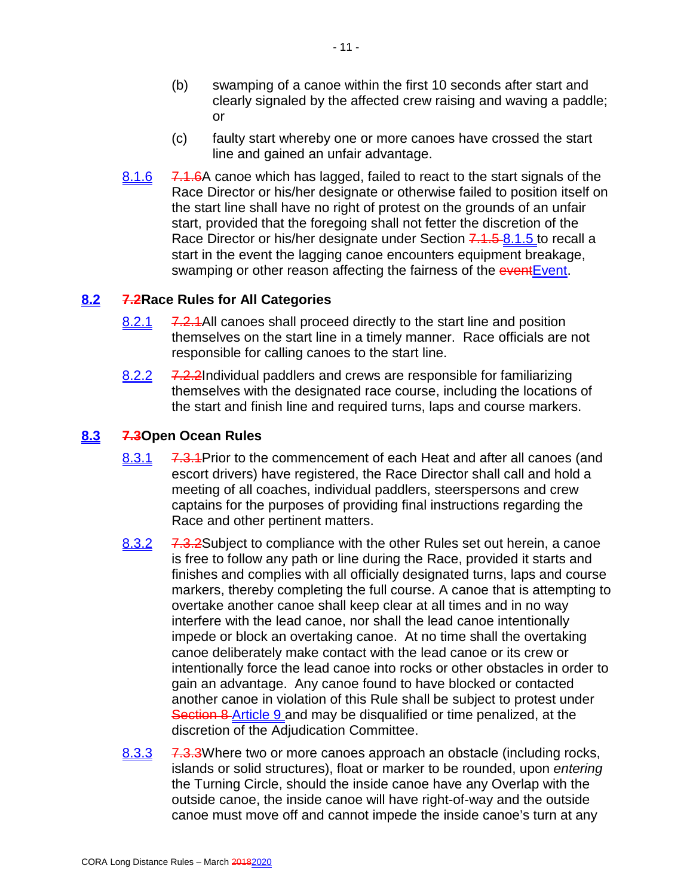- (b) swamping of a canoe within the first 10 seconds after start and clearly signaled by the affected crew raising and waving a paddle; or
- (c) faulty start whereby one or more canoes have crossed the start line and gained an unfair advantage.
- 8.1.6 7.1.6A canoe which has lagged, failed to react to the start signals of the Race Director or his/her designate or otherwise failed to position itself on the start line shall have no right of protest on the grounds of an unfair start, provided that the foregoing shall not fetter the discretion of the Race Director or his/her designate under Section 7.1.5 a.1.5 to recall a start in the event the lagging canoe encounters equipment breakage, swamping or other reason affecting the fairness of the eventEvent.

### **8.2 7.2Race Rules for All Categories**

- 8.2.1 7.2.1 All canoes shall proceed directly to the start line and position themselves on the start line in a timely manner. Race officials are not responsible for calling canoes to the start line.
- 8.2.2 7.2.2Individual paddlers and crews are responsible for familiarizing themselves with the designated race course, including the locations of the start and finish line and required turns, laps and course markers.

### **8.3 7.3Open Ocean Rules**

- 8.3.1 7.3.1 Prior to the commencement of each Heat and after all canoes (and escort drivers) have registered, the Race Director shall call and hold a meeting of all coaches, individual paddlers, steerspersons and crew captains for the purposes of providing final instructions regarding the Race and other pertinent matters.
- 8.3.2 7.3.2 Subject to compliance with the other Rules set out herein, a canoe is free to follow any path or line during the Race, provided it starts and finishes and complies with all officially designated turns, laps and course markers, thereby completing the full course. A canoe that is attempting to overtake another canoe shall keep clear at all times and in no way interfere with the lead canoe, nor shall the lead canoe intentionally impede or block an overtaking canoe. At no time shall the overtaking canoe deliberately make contact with the lead canoe or its crew or intentionally force the lead canoe into rocks or other obstacles in order to gain an advantage. Any canoe found to have blocked or contacted another canoe in violation of this Rule shall be subject to protest under Section 8 Article 9 and may be disqualified or time penalized, at the discretion of the Adjudication Committee.
- 8.3.3 7.3.3Where two or more canoes approach an obstacle (including rocks, islands or solid structures), float or marker to be rounded, upon *entering* the Turning Circle, should the inside canoe have any Overlap with the outside canoe, the inside canoe will have right-of-way and the outside canoe must move off and cannot impede the inside canoe's turn at any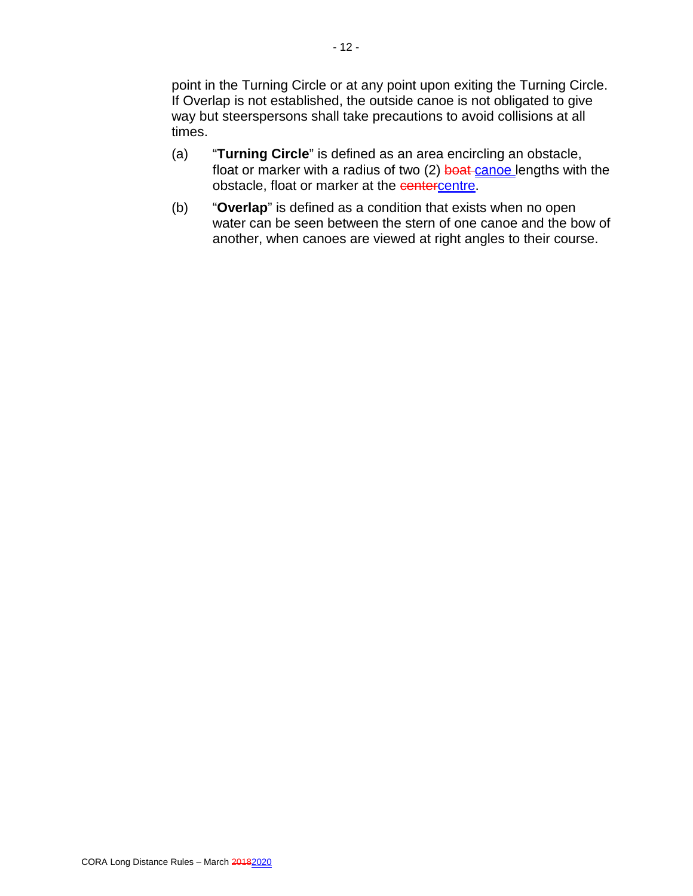point in the Turning Circle or at any point upon exiting the Turning Circle. If Overlap is not established, the outside canoe is not obligated to give way but steerspersons shall take precautions to avoid collisions at all times.

- (a) "**Turning Circle**" is defined as an area encircling an obstacle, float or marker with a radius of two  $(2)$  boat cance lengths with the obstacle, float or marker at the centercentre.
- (b) "**Overlap**" is defined as a condition that exists when no open water can be seen between the stern of one canoe and the bow of another, when canoes are viewed at right angles to their course.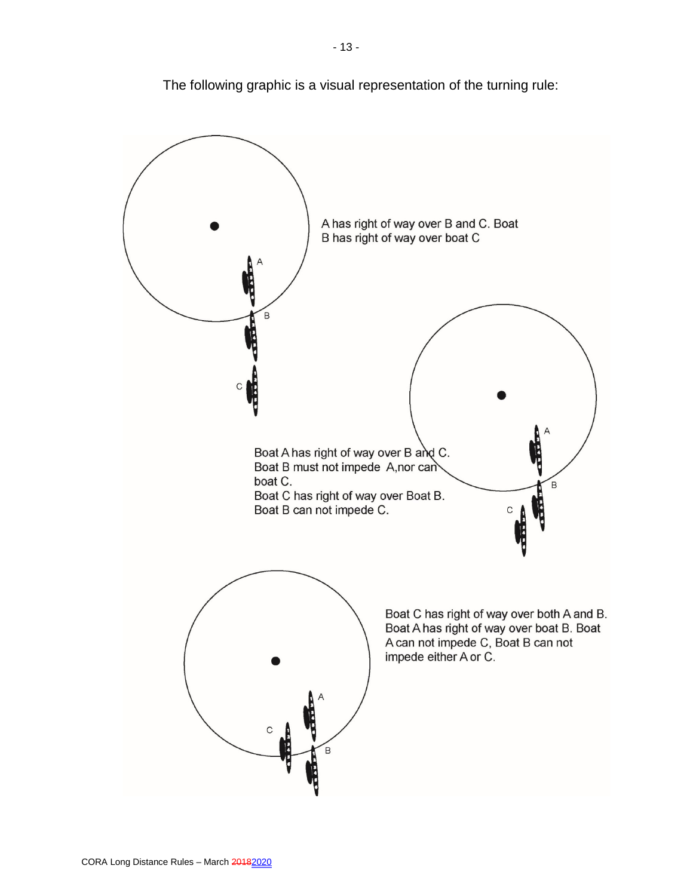

The following graphic is a visual representation of the turning rule: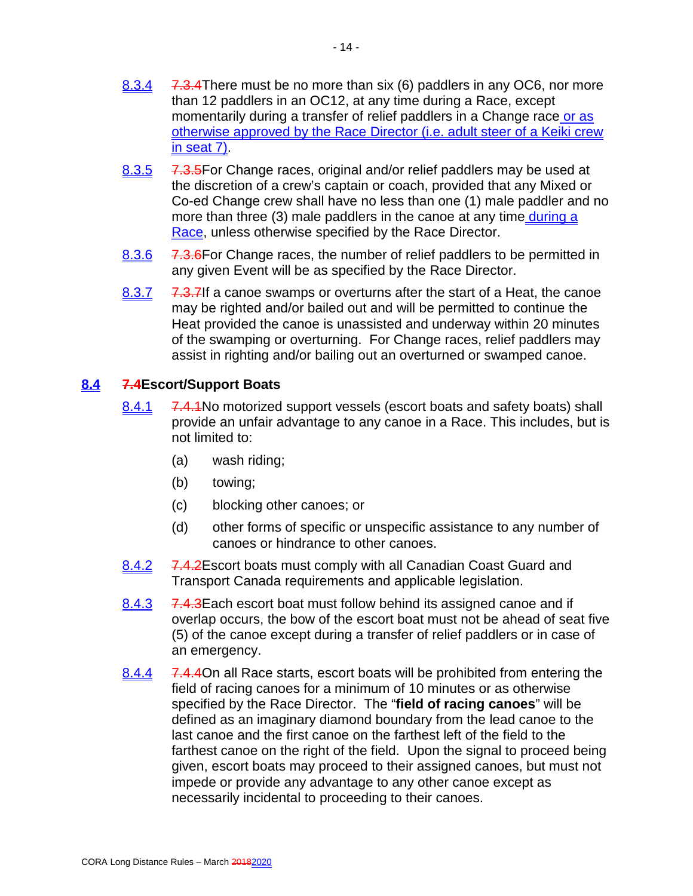- 8.3.5 7.3.5 For Change races, original and/or relief paddlers may be used at the discretion of a crew's captain or coach, provided that any Mixed or Co-ed Change crew shall have no less than one (1) male paddler and no more than three (3) male paddlers in the canoe at any time during a Race, unless otherwise specified by the Race Director.
- 8.3.6 7.3.6 For Change races, the number of relief paddlers to be permitted in any given Event will be as specified by the Race Director.
- 8.3.7 7.3.7 If a canoe swamps or overturns after the start of a Heat, the canoe may be righted and/or bailed out and will be permitted to continue the Heat provided the canoe is unassisted and underway within 20 minutes of the swamping or overturning. For Change races, relief paddlers may assist in righting and/or bailing out an overturned or swamped canoe.

# **8.4 7.4Escort/Support Boats**

- 8.4.1 7.4.1No motorized support vessels (escort boats and safety boats) shall provide an unfair advantage to any canoe in a Race. This includes, but is not limited to:
	- (a) wash riding;
	- (b) towing;
	- (c) blocking other canoes; or
	- (d) other forms of specific or unspecific assistance to any number of canoes or hindrance to other canoes.
- 8.4.2 7.4.2 Escort boats must comply with all Canadian Coast Guard and Transport Canada requirements and applicable legislation.
- 8.4.3 7.4.3 Each escort boat must follow behind its assigned canoe and if overlap occurs, the bow of the escort boat must not be ahead of seat five (5) of the canoe except during a transfer of relief paddlers or in case of an emergency.
- 8.4.4 7.4.4 On all Race starts, escort boats will be prohibited from entering the field of racing canoes for a minimum of 10 minutes or as otherwise specified by the Race Director. The "**field of racing canoes**" will be defined as an imaginary diamond boundary from the lead canoe to the last canoe and the first canoe on the farthest left of the field to the farthest canoe on the right of the field. Upon the signal to proceed being given, escort boats may proceed to their assigned canoes, but must not impede or provide any advantage to any other canoe except as necessarily incidental to proceeding to their canoes.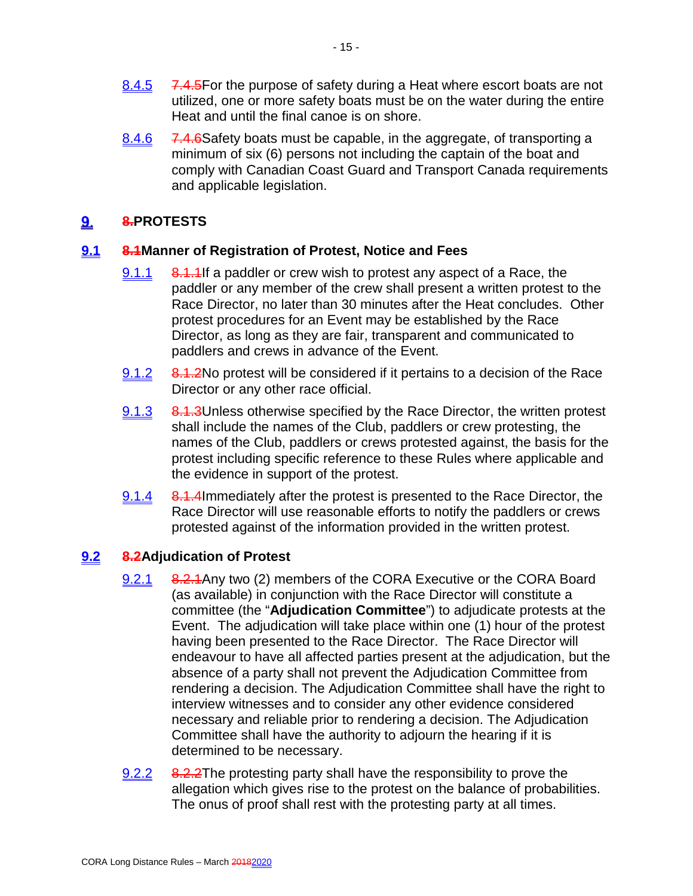- 8.4.5 7.4.5 For the purpose of safety during a Heat where escort boats are not utilized, one or more safety boats must be on the water during the entire Heat and until the final canoe is on shore.
- 8.4.6 7.4.6 Safety boats must be capable, in the aggregate, of transporting a minimum of six (6) persons not including the captain of the boat and comply with Canadian Coast Guard and Transport Canada requirements and applicable legislation.

#### 9. **8.PROTESTS**

### **9.1 8.1Manner of Registration of Protest, Notice and Fees**

- 9.1.1 8.1.1 B.1.1 a paddler or crew wish to protest any aspect of a Race, the paddler or any member of the crew shall present a written protest to the Race Director, no later than 30 minutes after the Heat concludes. Other protest procedures for an Event may be established by the Race Director, as long as they are fair, transparent and communicated to paddlers and crews in advance of the Event.
- 9.1.2 8.1.2No protest will be considered if it pertains to a decision of the Race Director or any other race official.
- 9.1.3 8.1.3Unless otherwise specified by the Race Director, the written protest shall include the names of the Club, paddlers or crew protesting, the names of the Club, paddlers or crews protested against, the basis for the protest including specific reference to these Rules where applicable and the evidence in support of the protest.
- 9.1.4 8.1.4 Immediately after the protest is presented to the Race Director, the Race Director will use reasonable efforts to notify the paddlers or crews protested against of the information provided in the written protest.

# **9.2 8.2Adjudication of Protest**

- 9.2.1 8.2.1 Any two (2) members of the CORA Executive or the CORA Board (as available) in conjunction with the Race Director will constitute a committee (the "**Adjudication Committee**") to adjudicate protests at the Event. The adjudication will take place within one (1) hour of the protest having been presented to the Race Director. The Race Director will endeavour to have all affected parties present at the adjudication, but the absence of a party shall not prevent the Adjudication Committee from rendering a decision. The Adjudication Committee shall have the right to interview witnesses and to consider any other evidence considered necessary and reliable prior to rendering a decision. The Adjudication Committee shall have the authority to adjourn the hearing if it is determined to be necessary.
- 9.2.2 8.2.2The protesting party shall have the responsibility to prove the allegation which gives rise to the protest on the balance of probabilities. The onus of proof shall rest with the protesting party at all times.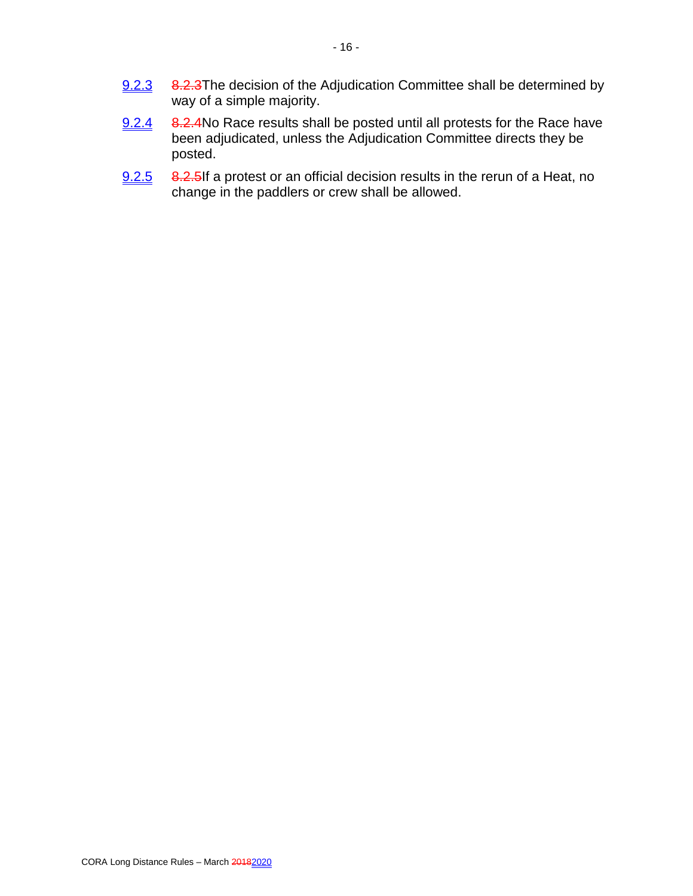- 9.2.3 8.2.3The decision of the Adjudication Committee shall be determined by way of a simple majority.
- 9.2.4 8.2.4No Race results shall be posted until all protests for the Race have been adjudicated, unless the Adjudication Committee directs they be posted.
- 9.2.5 8.2.5 If a protest or an official decision results in the rerun of a Heat, no change in the paddlers or crew shall be allowed.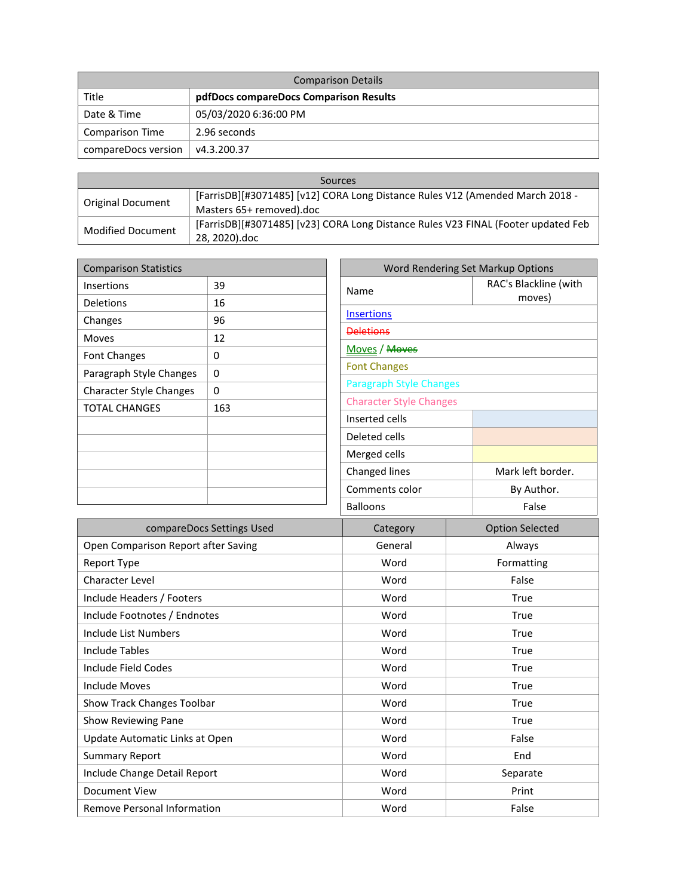| <b>Comparison Details</b> |                                        |  |  |
|---------------------------|----------------------------------------|--|--|
| Title                     | pdfDocs compareDocs Comparison Results |  |  |
| Date & Time               | 05/03/2020 6:36:00 PM                  |  |  |
| <b>Comparison Time</b>    | 2.96 seconds                           |  |  |
| compareDocs version       | v4.3.200.37                            |  |  |

| Sources                  |                                                                                   |  |  |  |
|--------------------------|-----------------------------------------------------------------------------------|--|--|--|
| <b>Original Document</b> | [FarrisDB][#3071485] [v12] CORA Long Distance Rules V12 (Amended March 2018 -     |  |  |  |
|                          | Masters 65+ removed).doc                                                          |  |  |  |
| <b>Modified Document</b> | [FarrisDB][#3071485] [v23] CORA Long Distance Rules V23 FINAL (Footer updated Feb |  |  |  |
|                          | 28, 2020).doc                                                                     |  |  |  |

| <b>Comparison Statistics</b>        |           | Word Rendering Set Markup Options |                        |
|-------------------------------------|-----------|-----------------------------------|------------------------|
| Insertions                          | 39        | Name                              | RAC's Blackline (with  |
| <b>Deletions</b>                    | 16        | moves)                            |                        |
| Changes                             | 96        | <b>Insertions</b>                 |                        |
| Moves                               | 12        | <b>Deletions</b>                  |                        |
| Font Changes                        | 0         | Moves / Moves                     |                        |
| Paragraph Style Changes             | $\pmb{0}$ | <b>Font Changes</b>               |                        |
| <b>Character Style Changes</b>      | 0         | <b>Paragraph Style Changes</b>    |                        |
| <b>TOTAL CHANGES</b>                | 163       | <b>Character Style Changes</b>    |                        |
|                                     |           | Inserted cells                    |                        |
|                                     |           | Deleted cells                     |                        |
|                                     |           | Merged cells                      |                        |
|                                     |           | Changed lines                     | Mark left border.      |
|                                     |           | Comments color                    | By Author.             |
|                                     |           | <b>Balloons</b>                   | False                  |
| compareDocs Settings Used           |           | Category                          | <b>Option Selected</b> |
|                                     |           |                                   |                        |
| Open Comparison Report after Saving |           | General                           | Always                 |
| <b>Report Type</b>                  |           | Word                              | Formatting             |
| <b>Character Level</b>              |           | Word                              | False                  |
| Include Headers / Footers           |           | Word                              | True                   |
| Include Footnotes / Endnotes        |           | Word                              | True                   |
| Include List Numbers                |           | Word                              | True                   |
| <b>Include Tables</b>               |           | Word                              | True                   |
| Include Field Codes                 |           | Word                              | True                   |
| <b>Include Moves</b>                |           | Word                              | True                   |
| Show Track Changes Toolbar          |           | Word                              | True                   |
| Show Reviewing Pane                 |           | Word                              | True                   |
| Update Automatic Links at Open      |           | Word                              | False                  |
| <b>Summary Report</b>               |           | Word                              | End                    |
| Include Change Detail Report        |           | Word                              | Separate               |
| <b>Document View</b>                |           | Word                              | Print                  |